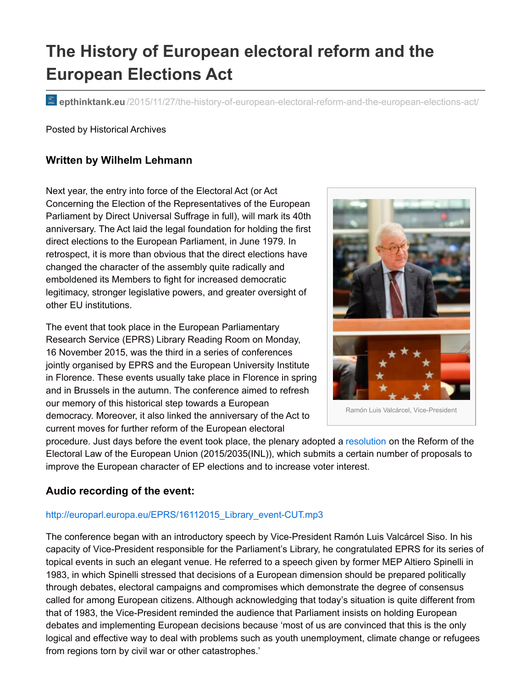# **The History of European electoral reform and the European Elections Act**

**epthinktank.eu** [/2015/11/27/the-history-of-european-electoral-reform-and-the-european-elections-act/](http://epthinktank.eu/2015/11/27/the-history-of-european-electoral-reform-and-the-european-elections-act/)

Posted by Historical Archives

#### **Written by Wilhelm Lehmann**

Next year, the entry into force of the Electoral Act (or Act Concerning the Election of the Representatives of the European Parliament by Direct Universal Suffrage in full), will mark its 40th anniversary. The Act laid the legal foundation for holding the first direct elections to the European Parliament, in June 1979. In retrospect, it is more than obvious that the direct elections have changed the character of the assembly quite radically and emboldened its Members to fight for increased democratic legitimacy, stronger legislative powers, and greater oversight of other EU institutions.

The event that took place in the European Parliamentary Research Service (EPRS) Library Reading Room on Monday, 16 November 2015, was the third in a series of conferences jointly organised by EPRS and the European University Institute in Florence. These events usually take place in Florence in spring and in Brussels in the autumn. The conference aimed to refresh our memory of this historical step towards a European democracy. Moreover, it also linked the anniversary of the Act to current moves for further reform of the European electoral



procedure. Just days before the event took place, the plenary adopted a [resolution](http://www.europarl.europa.eu/sides/getDoc.do?type=TA&language=EN&reference=P8-TA-2015-0395) on the Reform of the Electoral Law of the European Union (2015/2035(INL)), which submits a certain number of proposals to improve the European character of EP elections and to increase voter interest.

### **Audio recording of the event:**

#### http://europarl.europa.eu/EPRS/16112015 Library\_event-CUT.mp3

The conference began with an introductory speech by Vice-President Ramón Luis Valcárcel Siso. In his capacity of Vice-President responsible for the Parliament's Library, he congratulated EPRS for its series of topical events in such an elegant venue. He referred to a speech given by former MEP Altiero Spinelli in 1983, in which Spinelli stressed that decisions of a European dimension should be prepared politically through debates, electoral campaigns and compromises which demonstrate the degree of consensus called for among European citizens. Although acknowledging that today's situation is quite different from that of 1983, the Vice-President reminded the audience that Parliament insists on holding European debates and implementing European decisions because 'most of us are convinced that this is the only logical and effective way to deal with problems such as youth unemployment, climate change or refugees from regions torn by civil war or other catastrophes.'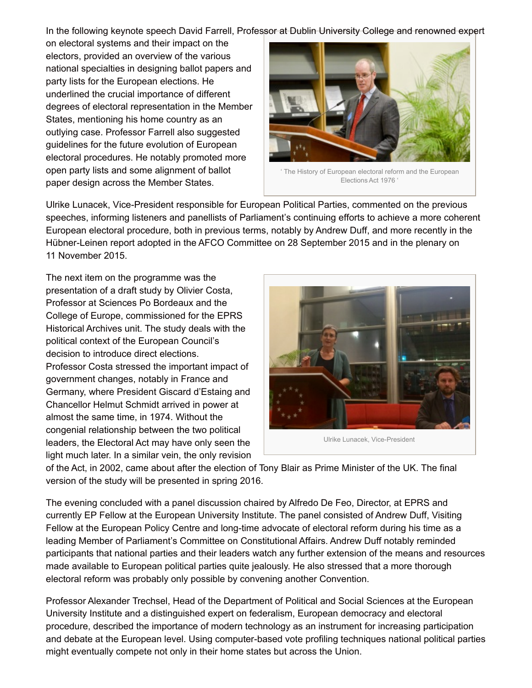In the following keynote speech David Farrell, Professor at Dublin University College and renowned expert

on electoral systems and their impact on the electors, provided an overview of the various national specialties in designing ballot papers and party lists for the European elections. He underlined the crucial importance of different degrees of electoral representation in the Member States, mentioning his home country as an outlying case. Professor Farrell also suggested guidelines for the future evolution of European electoral procedures. He notably promoted more open party lists and some alignment of ballot paper design across the Member States.



' The History of European electoral reform and the European Elections Act 1976 '

Ulrike Lunacek, Vice-President responsible for European Political Parties, commented on the previous speeches, informing listeners and panellists of Parliament's continuing efforts to achieve a more coherent European electoral procedure, both in previous terms, notably by Andrew Duff, and more recently in the Hübner-Leinen report adopted in the AFCO Committee on 28 September 2015 and in the plenary on 11 November 2015.

The next item on the programme was the presentation of a draft study by Olivier Costa, Professor at Sciences Po Bordeaux and the College of Europe, commissioned for the EPRS Historical Archives unit. The study deals with the political context of the European Council's decision to introduce direct elections. Professor Costa stressed the important impact of government changes, notably in France and Germany, where President Giscard d'Estaing and Chancellor Helmut Schmidt arrived in power at almost the same time, in 1974. Without the congenial relationship between the two political leaders, the Electoral Act may have only seen the light much later. In a similar vein, the only revision



Ulrike Lunacek, Vice-President

of the Act, in 2002, came about after the election of Tony Blair as Prime Minister of the UK. The final version of the study will be presented in spring 2016.

The evening concluded with a panel discussion chaired by Alfredo De Feo, Director, at EPRS and currently EP Fellow at the European University Institute. The panel consisted of Andrew Duff, Visiting Fellow at the European Policy Centre and long-time advocate of electoral reform during his time as a leading Member of Parliament's Committee on Constitutional Affairs. Andrew Duff notably reminded participants that national parties and their leaders watch any further extension of the means and resources made available to European political parties quite jealously. He also stressed that a more thorough electoral reform was probably only possible by convening another Convention.

Professor Alexander Trechsel, Head of the Department of Political and Social Sciences at the European University Institute and a distinguished expert on federalism, European democracy and electoral procedure, described the importance of modern technology as an instrument for increasing participation and debate at the European level. Using computer-based vote profiling techniques national political parties might eventually compete not only in their home states but across the Union.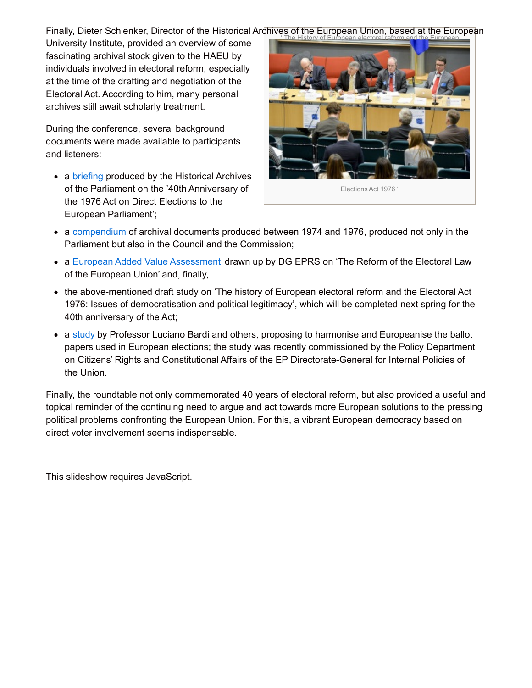Finally, Dieter Schlenker, Director of the Historical Archives of the European Union, based at the European

University Institute, provided an overview of some fascinating archival stock given to the HAEU by individuals involved in electoral reform, especially at the time of the drafting and negotiation of the Electoral Act. According to him, many personal archives still await scholarly treatment.

During the conference, several background documents were made available to participants and listeners:

• a [briefing](http://www.europarl.europa.eu/RegData/etudes/BRIE/2015/563513/EPRS_BRI(2015)563513_EN.pdf) produced by the Historical Archives of the Parliament on the '40th Anniversary of the 1976 Act on Direct Elections to the European Parliament';



Elections Act 1976 '

- a [compendium](http://www.europarl.europa.eu/RegData/etudes/BRIE/2015/563513/EPRS_BRI(2015)563513(ANN)_EN.pdf) of archival documents produced between 1974 and 1976, produced not only in the Parliament but also in the Council and the Commission;
- a European Added Value [Assessment](http://www.europarl.europa.eu/RegData/etudes/IDAN/2015/558775/EPRS_IDA(2015)558775_EN.pdf) drawn up by DG EPRS on 'The Reform of the Electoral Law of the European Union' and, finally,
- the above-mentioned draft study on 'The history of European electoral reform and the Electoral Act 1976: Issues of democratisation and political legitimacy', which will be completed next spring for the 40th anniversary of the Act;
- a [study](http://www.europarl.europa.eu/RegData/etudes/STUD/2015/536464/IPOL_STU(2015)536464_EN.pdf) by Professor Luciano Bardi and others, proposing to harmonise and Europeanise the ballot papers used in European elections; the study was recently commissioned by the Policy Department on Citizens' Rights and Constitutional Affairs of the EP Directorate-General for Internal Policies of the Union.

Finally, the roundtable not only commemorated 40 years of electoral reform, but also provided a useful and topical reminder of the continuing need to argue and act towards more European solutions to the pressing political problems confronting the European Union. For this, a vibrant European democracy based on direct voter involvement seems indispensable.

This slideshow requires JavaScript.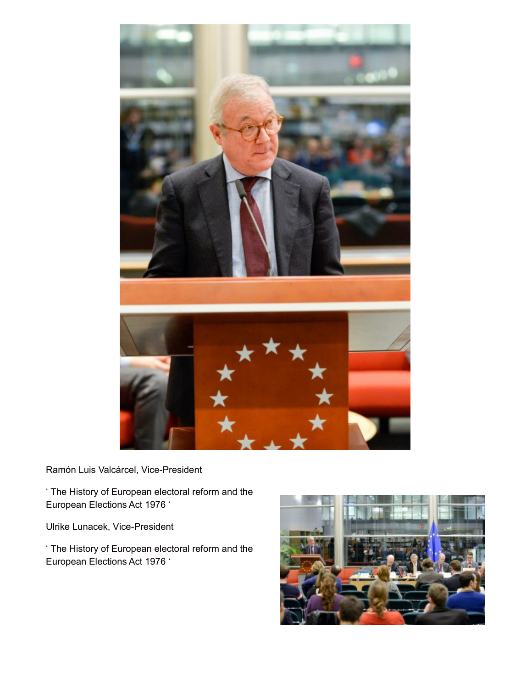

Ramón Luis Valcárcel, Vice-President

' The History of European electoral reform and the European Elections Act 1976 '

Ulrike Lunacek, Vice-President

' The History of European electoral reform and the European Elections Act 1976 '

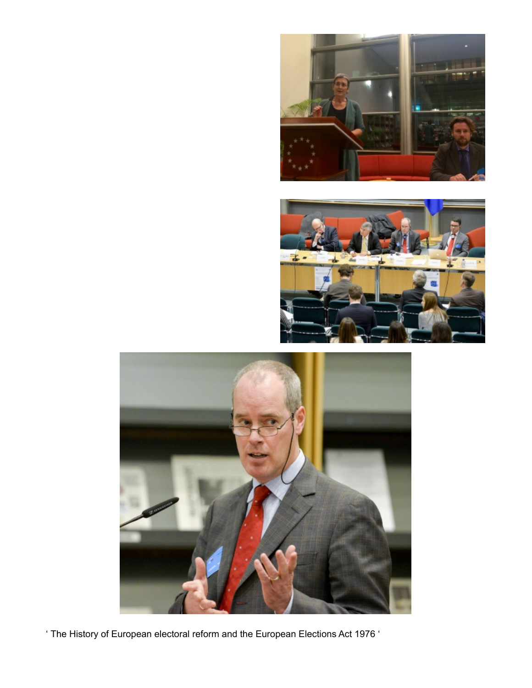





' The History of European electoral reform and the European Elections Act 1976 '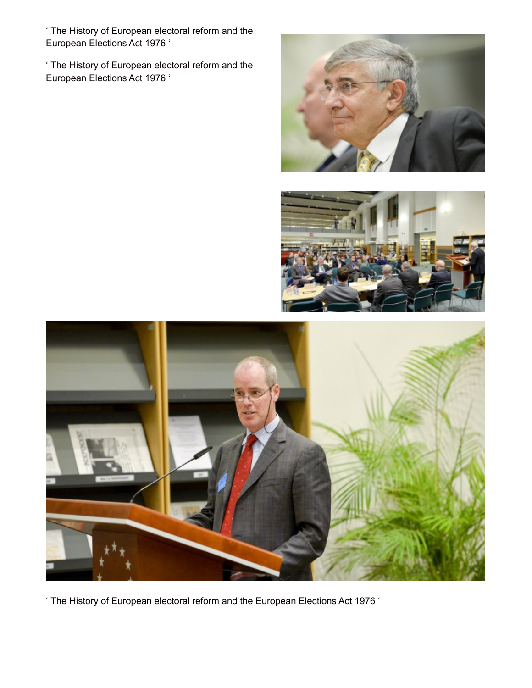' The History of European electoral reform and the European Elections Act 1976 '

' The History of European electoral reform and the European Elections Act 1976 '







' The History of European electoral reform and the European Elections Act 1976 '